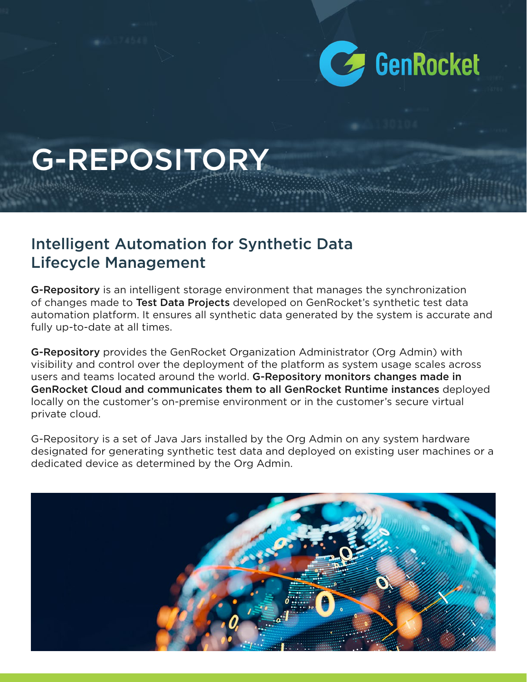

# G-REPOSITORY

#### Intelligent Automation for Synthetic Data Lifecycle Management

G-Repository is an intelligent storage environment that manages the synchronization of changes made to Test Data Projects developed on GenRocket's synthetic test data automation platform. It ensures all synthetic data generated by the system is accurate and fully up-to-date at all times.

G-Repository provides the GenRocket Organization Administrator (Org Admin) with visibility and control over the deployment of the platform as system usage scales across users and teams located around the world. G-Repository monitors changes made in GenRocket Cloud and communicates them to all GenRocket Runtime instances deployed locally on the customer's on-premise environment or in the customer's secure virtual private cloud.

G-Repository is a set of Java Jars installed by the Org Admin on any system hardware designated for generating synthetic test data and deployed on existing user machines or a dedicated device as determined by the Org Admin.

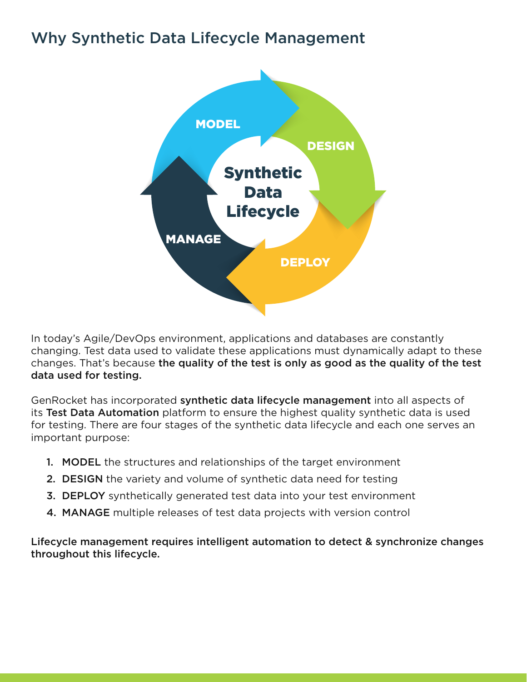# Why Synthetic Data Lifecycle Management



In today's Agile/DevOps environment, applications and databases are constantly changing. Test data used to validate these applications must dynamically adapt to these changes. That's because the quality of the test is only as good as the quality of the test data used for testing.

GenRocket has incorporated synthetic data lifecycle management into all aspects of its Test Data Automation platform to ensure the highest quality synthetic data is used for testing. There are four stages of the synthetic data lifecycle and each one serves an important purpose:

- 1. MODEL the structures and relationships of the target environment
- 2. DESIGN the variety and volume of synthetic data need for testing
- **3. DEPLOY** synthetically generated test data into your test environment
- 4. MANAGE multiple releases of test data projects with version control

Lifecycle management requires intelligent automation to detect & synchronize changes throughout this lifecycle.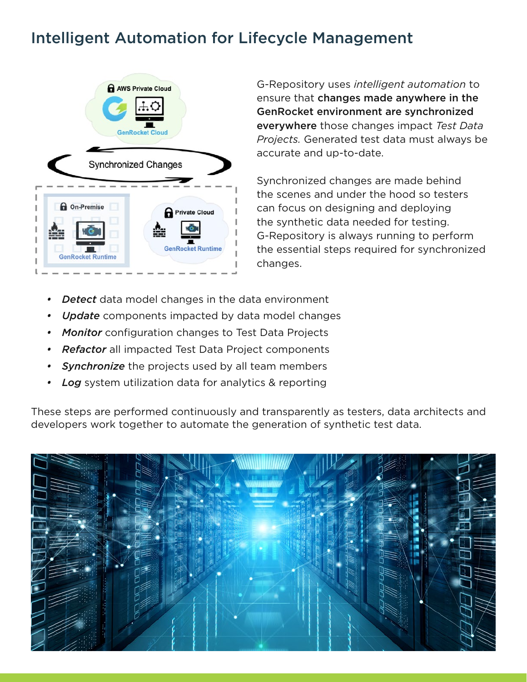## Intelligent Automation for Lifecycle Management



G-Repository uses *intelligent automation* to ensure that changes made anywhere in the GenRocket environment are synchronized everywhere those changes impact *Test Data Projects.* Generated test data must always be accurate and up-to-date.

Synchronized changes are made behind the scenes and under the hood so testers can focus on designing and deploying the synthetic data needed for testing. G-Repository is always running to perform the essential steps required for synchronized changes.

- *• Detect* data model changes in the data environment
- *• Update* components impacted by data model changes
- *• Monitor* configuration changes to Test Data Projects
- *• Refactor* all impacted Test Data Project components
- *• Synchronize* the projects used by all team members
- *• Log* system utilization data for analytics & reporting

These steps are performed continuously and transparently as testers, data architects and developers work together to automate the generation of synthetic test data.

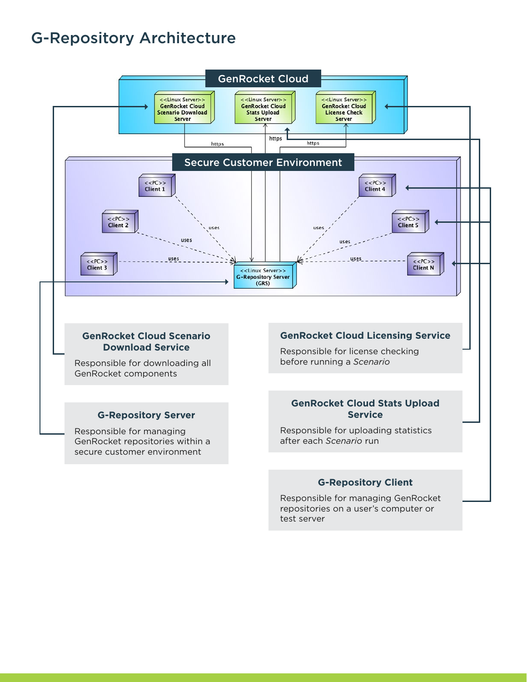#### G-Repository Architecture



#### **G-Repository Client**

Responsible for managing GenRocket repositories on a user's computer or test server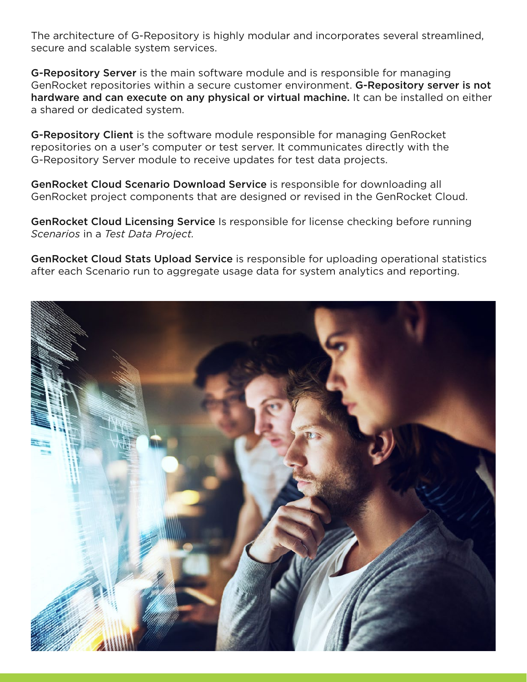The architecture of G-Repository is highly modular and incorporates several streamlined, secure and scalable system services.

G-Repository Server is the main software module and is responsible for managing GenRocket repositories within a secure customer environment. G-Repository server is not hardware and can execute on any physical or virtual machine. It can be installed on either a shared or dedicated system.

G-Repository Client is the software module responsible for managing GenRocket repositories on a user's computer or test server. It communicates directly with the G-Repository Server module to receive updates for test data projects.

GenRocket Cloud Scenario Download Service is responsible for downloading all GenRocket project components that are designed or revised in the GenRocket Cloud.

GenRocket Cloud Licensing Service Is responsible for license checking before running *Scenarios* in a *Test Data Project.*

GenRocket Cloud Stats Upload Service is responsible for uploading operational statistics after each Scenario run to aggregate usage data for system analytics and reporting.

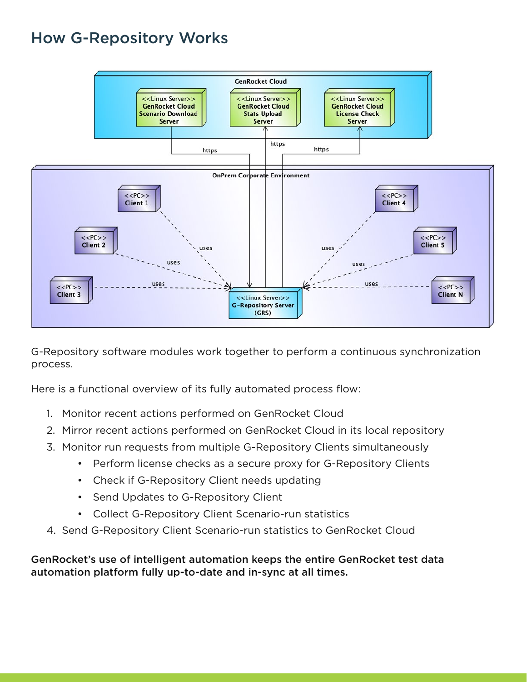## How G-Repository Works



G-Repository software modules work together to perform a continuous synchronization process.

Here is a functional overview of its fully automated process flow:

- 1. Monitor recent actions performed on GenRocket Cloud
- 2. Mirror recent actions performed on GenRocket Cloud in its local repository
- 3. Monitor run requests from multiple G-Repository Clients simultaneously
	- Perform license checks as a secure proxy for G-Repository Clients
	- Check if G-Repository Client needs updating
	- Send Updates to G-Repository Client
	- Collect G-Repository Client Scenario-run statistics
- 4. Send G-Repository Client Scenario-run statistics to GenRocket Cloud

GenRocket's use of intelligent automation keeps the entire GenRocket test data automation platform fully up-to-date and in-sync at all times.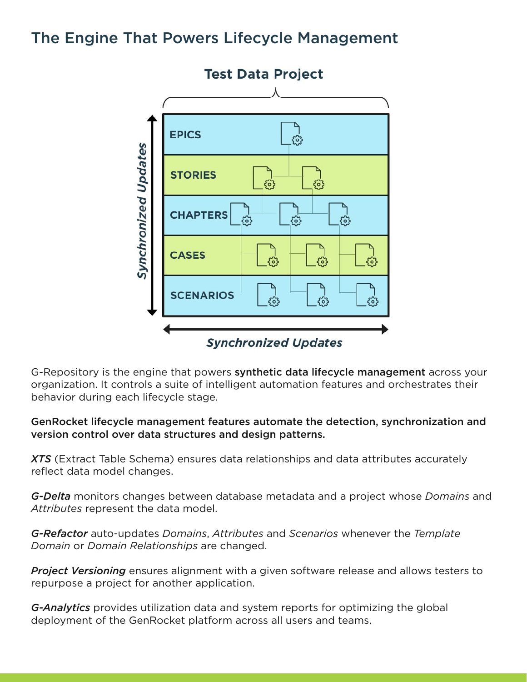## The Engine That Powers Lifecycle Management



G-Repository is the engine that powers **synthetic data lifecycle management** across your organization. It controls a suite of intelligent automation features and orchestrates their behavior during each lifecycle stage.

#### GenRocket lifecycle management features automate the detection, synchronization and version control over data structures and design patterns.

*XTS* (Extract Table Schema) ensures data relationships and data attributes accurately reflect data model changes.

*G-Delta* monitors changes between database metadata and a project whose *Domains* and *Attributes* represent the data model.

*G-Refactor* auto-updates *Domains*, *Attributes* and *Scenarios* whenever the *Template Domain* or *Domain Relationships* are changed.

*Project Versioning* ensures alignment with a given software release and allows testers to repurpose a project for another application.

*G-Analytics* provides utilization data and system reports for optimizing the global deployment of the GenRocket platform across all users and teams.